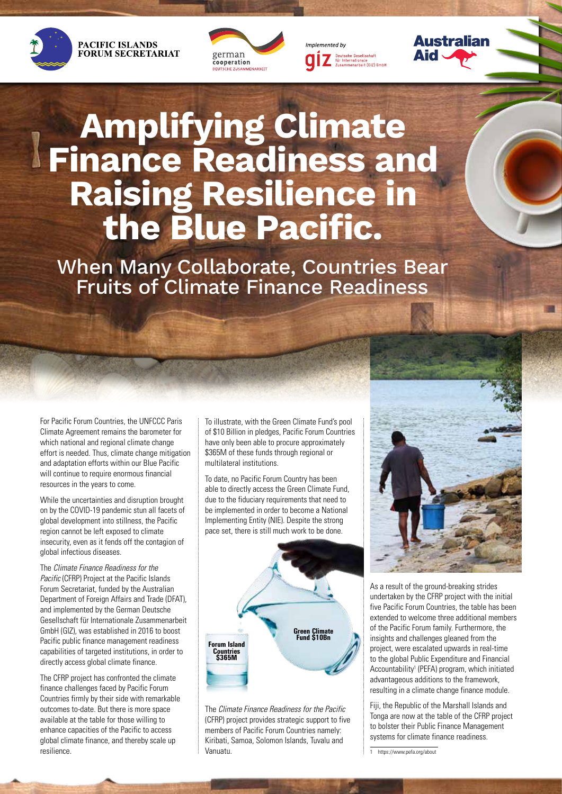







# **Amplifying Climate Finance Readiness and Raising Resilience in the Blue Pacific.**

When Many Collaborate, Countries Bear Fruits of Climate Finance Readiness

For Pacific Forum Countries, the UNFCCC Paris Climate Agreement remains the barometer for which national and regional climate change effort is needed. Thus, climate change mitigation and adaptation efforts within our Blue Pacific will continue to require enormous financial resources in the years to come.

While the uncertainties and disruption brought on by the COVID-19 pandemic stun all facets of global development into stillness, the Pacific region cannot be left exposed to climate insecurity, even as it fends off the contagion of global infectious diseases.

The *Climate Finance Readiness for the Pacific* (CFRP) Project at the Pacific Islands Forum Secretariat, funded by the Australian Department of Foreign Affairs and Trade (DFAT), and implemented by the German Deutsche Gesellschaft für Internationale Zusammenarbeit GmbH (GIZ), was established in 2016 to boost Pacific public finance management readiness capabilities of targeted institutions, in order to directly access global climate finance.

The CFRP project has confronted the climate finance challenges faced by Pacific Forum Countries firmly by their side with remarkable outcomes to-date. But there is more space available at the table for those willing to enhance capacities of the Pacific to access global climate finance, and thereby scale up resilience.

To illustrate, with the Green Climate Fund's pool of \$10 Billion in pledges, Pacific Forum Countries have only been able to procure approximately \$365M of these funds through regional or multilateral institutions.

To date, no Pacific Forum Country has been able to directly access the Green Climate Fund, due to the fiduciary requirements that need to be implemented in order to become a National Implementing Entity (NIE). Despite the strong pace set, there is still much work to be done.



The *Climate Finance Readiness for the Pacific* (CFRP) project provides strategic support to five members of Pacific Forum Countries namely: Kiribati, Samoa, Solomon Islands, Tuvalu and Vanuatu.



As a result of the ground-breaking strides undertaken by the CFRP project with the initial five Pacific Forum Countries, the table has been extended to welcome three additional members of the Pacific Forum family. Furthermore, the insights and challenges gleaned from the project, were escalated upwards in real-time to the global Public Expenditure and Financial Accountability<sup>1</sup> (PEFA) program, which initiated advantageous additions to the framework, resulting in a climate change finance module.

Fiji, the Republic of the Marshall Islands and Tonga are now at the table of the CFRP project to bolster their Public Finance Management systems for climate finance readiness.

https://www.pefa.org/about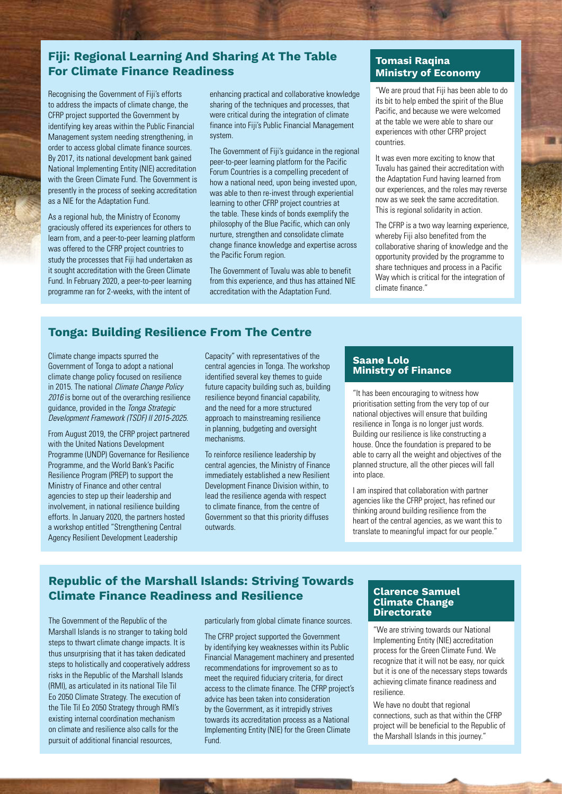# **Fiji: Regional Learning And Sharing At The Table For Climate Finance Readiness**

Recognising the Government of Fiji's efforts to address the impacts of climate change, the CFRP project supported the Government by identifying key areas within the Public Financial Management system needing strengthening, in order to access global climate finance sources. By 2017, its national development bank gained National Implementing Entity (NIE) accreditation with the Green Climate Fund. The Government is presently in the process of seeking accreditation as a NIE for the Adaptation Fund.

As a regional hub, the Ministry of Economy graciously offered its experiences for others to learn from, and a peer-to-peer learning platform was offered to the CFRP project countries to study the processes that Fiji had undertaken as it sought accreditation with the Green Climate Fund. In February 2020, a peer-to-peer learning programme ran for 2-weeks, with the intent of

enhancing practical and collaborative knowledge sharing of the techniques and processes, that were critical during the integration of climate finance into Fiji's Public Financial Management system.

The Government of Fiji's guidance in the regional peer-to-peer learning platform for the Pacific Forum Countries is a compelling precedent of how a national need, upon being invested upon, was able to then re-invest through experiential learning to other CFRP project countries at the table. These kinds of bonds exemplify the philosophy of the Blue Pacific, which can only nurture, strengthen and consolidate climate change finance knowledge and expertise across the Pacific Forum region.

The Government of Tuvalu was able to benefit from this experience, and thus has attained NIE accreditation with the Adaptation Fund.

## **Tomasi Raqina Ministry of Economy**

"We are proud that Fiji has been able to do its bit to help embed the spirit of the Blue Pacific, and because we were welcomed at the table we were able to share our experiences with other CFRP project countries.

It was even more exciting to know that Tuvalu has gained their accreditation with the Adaptation Fund having learned from our experiences, and the roles may reverse now as we seek the same accreditation. This is regional solidarity in action.

The CFRP is a two way learning experience, whereby Fiji also benefited from the collaborative sharing of knowledge and the opportunity provided by the programme to share techniques and process in a Pacific Way which is critical for the integration of climate finance."

# **Tonga: Building Resilience From The Centre**

Climate change impacts spurred the Government of Tonga to adopt a national climate change policy focused on resilience in 2015. The national *Climate Change Policy 2016* is borne out of the overarching resilience guidance, provided in the *Tonga Strategic Development Framework (TSDF) II 2015-2025*.

From August 2019, the CFRP project partnered with the United Nations Development Programme (UNDP) Governance for Resilience Programme, and the World Bank's Pacific Resilience Program (PREP) to support the Ministry of Finance and other central agencies to step up their leadership and involvement, in national resilience building efforts. In January 2020, the partners hosted a workshop entitled "Strengthening Central Agency Resilient Development Leadership

Capacity" with representatives of the central agencies in Tonga. The workshop identified several key themes to guide future capacity building such as, building resilience beyond financial capability, and the need for a more structured approach to mainstreaming resilience in planning, budgeting and oversight mechanisms.

To reinforce resilience leadership by central agencies, the Ministry of Finance immediately established a new Resilient Development Finance Division within, to lead the resilience agenda with respect to climate finance, from the centre of Government so that this priority diffuses outwards.

#### **Saane Lolo Ministry of Finance**

"It has been encouraging to witness how prioritisation setting from the very top of our national objectives will ensure that building resilience in Tonga is no longer just words. Building our resilience is like constructing a house. Once the foundation is prepared to be able to carry all the weight and objectives of the planned structure, all the other pieces will fall into place.

I am inspired that collaboration with partner agencies like the CFRP project, has refined our thinking around building resilience from the heart of the central agencies, as we want this to translate to meaningful impact for our people."

# **Republic of the Marshall Islands: Striving Towards Climate Finance Readiness and Resilience**

The Government of the Republic of the Marshall Islands is no stranger to taking bold steps to thwart climate change impacts. It is thus unsurprising that it has taken dedicated steps to holistically and cooperatively address risks in the Republic of the Marshall Islands (RMI), as articulated in its national Tile Til Eo 2050 Climate Strategy. The execution of the Tile Til Eo 2050 Strategy through RMI's existing internal coordination mechanism on climate and resilience also calls for the pursuit of additional financial resources,

particularly from global climate finance sources.

The CFRP project supported the Government by identifying key weaknesses within its Public Financial Management machinery and presented recommendations for improvement so as to meet the required fiduciary criteria, for direct access to the climate finance. The CFRP project's advice has been taken into consideration by the Government, as it intrepidly strives towards its accreditation process as a National Implementing Entity (NIE) for the Green Climate Fund.

#### **Clarence Samuel Climate Change Directorate**

"We are striving towards our National Implementing Entity (NIE) accreditation process for the Green Climate Fund. We recognize that it will not be easy, nor quick but it is one of the necessary steps towards achieving climate finance readiness and resilience.

We have no doubt that regional connections, such as that within the CFRP project will be beneficial to the Republic of the Marshall Islands in this journey."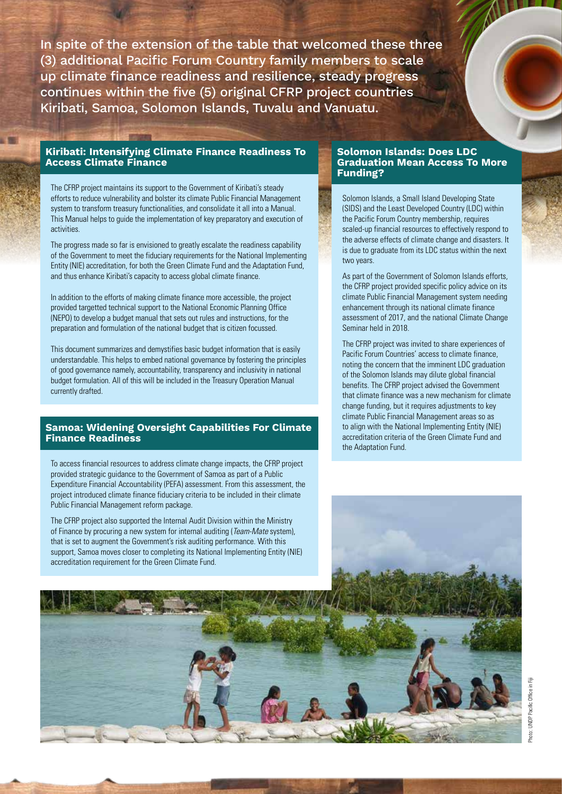In spite of the extension of the table that welcomed these three (3) additional Pacific Forum Country family members to scale up climate finance readiness and resilience, steady progress continues within the five (5) original CFRP project countries Kiribati, Samoa, Solomon Islands, Tuvalu and Vanuatu.

## **Kiribati: Intensifying Climate Finance Readiness To Access Climate Finance**

The CFRP project maintains its support to the Government of Kiribati's steady efforts to reduce vulnerability and bolster its climate Public Financial Management system to transform treasury functionalities, and consolidate it all into a Manual. This Manual helps to guide the implementation of key preparatory and execution of activities.

The progress made so far is envisioned to greatly escalate the readiness capability of the Government to meet the fiduciary requirements for the National Implementing Entity (NIE) accreditation, for both the Green Climate Fund and the Adaptation Fund, and thus enhance Kiribati's capacity to access global climate finance.

In addition to the efforts of making climate finance more accessible, the project provided targetted technical support to the National Economic Planning Office (NEPO) to develop a budget manual that sets out rules and instructions, for the preparation and formulation of the national budget that is citizen focussed.

This document summarizes and demystifies basic budget information that is easily understandable. This helps to embed national governance by fostering the principles of good governance namely, accountability, transparency and inclusivity in national budget formulation. All of this will be included in the Treasury Operation Manual currently drafted.

## **Samoa: Widening Oversight Capabilities For Climate Finance Readiness**

To access financial resources to address climate change impacts, the CFRP project provided strategic guidance to the Government of Samoa as part of a Public Expenditure Financial Accountability (PEFA) assessment. From this assessment, the project introduced climate finance fiduciary criteria to be included in their climate Public Financial Management reform package.

The CFRP project also supported the Internal Audit Division within the Ministry of Finance by procuring a new system for internal auditing (*Team-Mate* system), that is set to augment the Government's risk auditing performance. With this support, Samoa moves closer to completing its National Implementing Entity (NIE) accreditation requirement for the Green Climate Fund.

#### **Solomon Islands: Does LDC Graduation Mean Access To More Funding?**

Solomon Islands, a Small Island Developing State (SIDS) and the Least Developed Country (LDC) within the Pacific Forum Country membership, requires scaled-up financial resources to effectively respond to the adverse effects of climate change and disasters. It is due to graduate from its LDC status within the next two years.

As part of the Government of Solomon Islands efforts, the CFRP project provided specific policy advice on its climate Public Financial Management system needing enhancement through its national climate finance assessment of 2017, and the national Climate Change Seminar held in 2018.

The CFRP project was invited to share experiences of Pacific Forum Countries' access to climate finance, noting the concern that the imminent LDC graduation of the Solomon Islands may dilute global financial benefits. The CFRP project advised the Government that climate finance was a new mechanism for climate change funding, but it requires adjustments to key climate Public Financial Management areas so as to align with the National Implementing Entity (NIE) accreditation criteria of the Green Climate Fund and the Adaptation Fund.